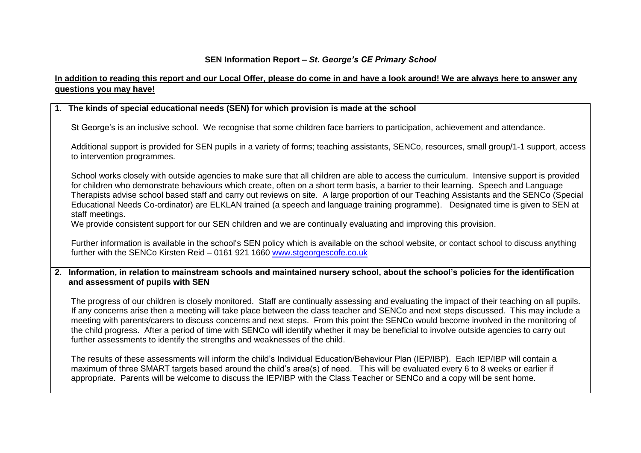## **SEN Information Report –** *St. George's CE Primary School*

# **In addition to reading this report and our Local Offer, please do come in and have a look around! We are always here to answer any questions you may have!**

# **1. The kinds of special educational needs (SEN) for which provision is made at the school**

St George's is an inclusive school. We recognise that some children face barriers to participation, achievement and attendance.

Additional support is provided for SEN pupils in a variety of forms; teaching assistants, SENCo, resources, small group/1-1 support, access to intervention programmes.

School works closely with outside agencies to make sure that all children are able to access the curriculum. Intensive support is provided for children who demonstrate behaviours which create, often on a short term basis, a barrier to their learning. Speech and Language Therapists advise school based staff and carry out reviews on site. A large proportion of our Teaching Assistants and the SENCo (Special Educational Needs Co-ordinator) are ELKLAN trained (a speech and language training programme). Designated time is given to SEN at staff meetings.

We provide consistent support for our SEN children and we are continually evaluating and improving this provision.

Further information is available in the school's SEN policy which is available on the school website, or contact school to discuss anything further with the SENCo Kirsten Reid – 0161 921 1660 [www.stgeorgescofe.co.uk](http://www.stgeorgescofe.co.uk/)

**2. Information, in relation to mainstream schools and maintained nursery school, about the school's policies for the identification and assessment of pupils with SEN**

The progress of our children is closely monitored. Staff are continually assessing and evaluating the impact of their teaching on all pupils. If any concerns arise then a meeting will take place between the class teacher and SENCo and next steps discussed. This may include a meeting with parents/carers to discuss concerns and next steps. From this point the SENCo would become involved in the monitoring of the child progress. After a period of time with SENCo will identify whether it may be beneficial to involve outside agencies to carry out further assessments to identify the strengths and weaknesses of the child.

The results of these assessments will inform the child's Individual Education/Behaviour Plan (IEP/IBP). Each IEP/IBP will contain a maximum of three SMART targets based around the child's area(s) of need. This will be evaluated every 6 to 8 weeks or earlier if appropriate. Parents will be welcome to discuss the IEP/IBP with the Class Teacher or SENCo and a copy will be sent home.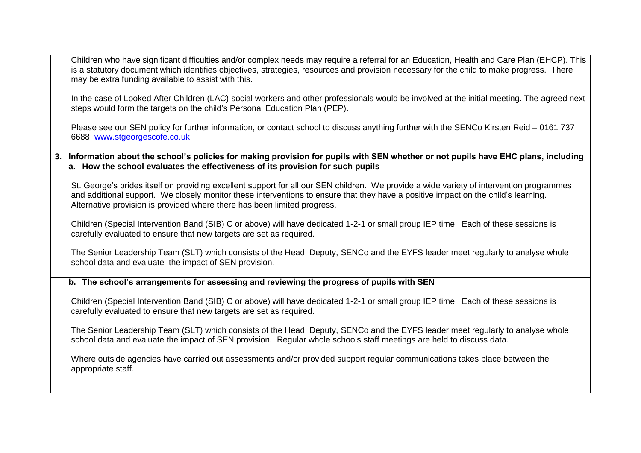Children who have significant difficulties and/or complex needs may require a referral for an Education, Health and Care Plan (EHCP). This is a statutory document which identifies objectives, strategies, resources and provision necessary for the child to make progress. There may be extra funding available to assist with this.

In the case of Looked After Children (LAC) social workers and other professionals would be involved at the initial meeting. The agreed next steps would form the targets on the child's Personal Education Plan (PEP).

Please see our SEN policy for further information, or contact school to discuss anything further with the SENCo Kirsten Reid – 0161 737 6688 [www.stgeorgescofe.co.uk](http://www.stgeorgescofe.co.uk/)

**3. Information about the school's policies for making provision for pupils with SEN whether or not pupils have EHC plans, including a. How the school evaluates the effectiveness of its provision for such pupils**

St. George's prides itself on providing excellent support for all our SEN children. We provide a wide variety of intervention programmes and additional support. We closely monitor these interventions to ensure that they have a positive impact on the child's learning. Alternative provision is provided where there has been limited progress.

Children (Special Intervention Band (SIB) C or above) will have dedicated 1-2-1 or small group IEP time. Each of these sessions is carefully evaluated to ensure that new targets are set as required.

The Senior Leadership Team (SLT) which consists of the Head, Deputy, SENCo and the EYFS leader meet regularly to analyse whole school data and evaluate the impact of SEN provision.

**b. The school's arrangements for assessing and reviewing the progress of pupils with SEN**

Children (Special Intervention Band (SIB) C or above) will have dedicated 1-2-1 or small group IEP time. Each of these sessions is carefully evaluated to ensure that new targets are set as required.

The Senior Leadership Team (SLT) which consists of the Head, Deputy, SENCo and the EYFS leader meet regularly to analyse whole school data and evaluate the impact of SEN provision. Regular whole schools staff meetings are held to discuss data.

Where outside agencies have carried out assessments and/or provided support regular communications takes place between the appropriate staff.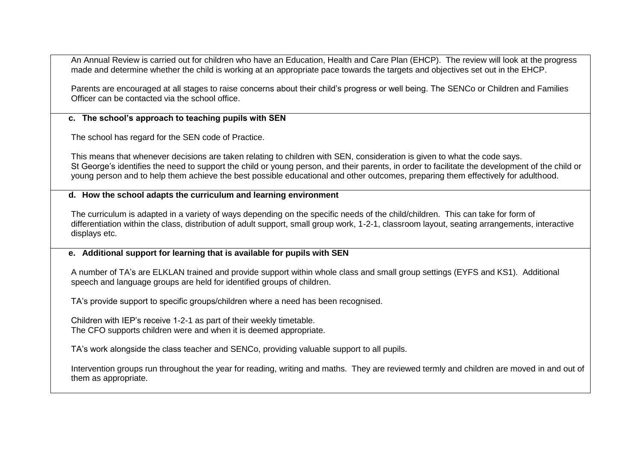An Annual Review is carried out for children who have an Education, Health and Care Plan (EHCP). The review will look at the progress made and determine whether the child is working at an appropriate pace towards the targets and objectives set out in the EHCP.

Parents are encouraged at all stages to raise concerns about their child's progress or well being. The SENCo or Children and Families Officer can be contacted via the school office.

## **c. The school's approach to teaching pupils with SEN**

The school has regard for the SEN code of Practice.

This means that whenever decisions are taken relating to children with SEN, consideration is given to what the code says. St George's identifies the need to support the child or young person, and their parents, in order to facilitate the development of the child or young person and to help them achieve the best possible educational and other outcomes, preparing them effectively for adulthood.

## **d. How the school adapts the curriculum and learning environment**

The curriculum is adapted in a variety of ways depending on the specific needs of the child/children. This can take for form of differentiation within the class, distribution of adult support, small group work, 1-2-1, classroom layout, seating arrangements, interactive displays etc.

## **e. Additional support for learning that is available for pupils with SEN**

A number of TA's are ELKLAN trained and provide support within whole class and small group settings (EYFS and KS1). Additional speech and language groups are held for identified groups of children.

TA's provide support to specific groups/children where a need has been recognised.

Children with IEP's receive 1-2-1 as part of their weekly timetable. The CFO supports children were and when it is deemed appropriate.

TA's work alongside the class teacher and SENCo, providing valuable support to all pupils.

Intervention groups run throughout the year for reading, writing and maths. They are reviewed termly and children are moved in and out of them as appropriate.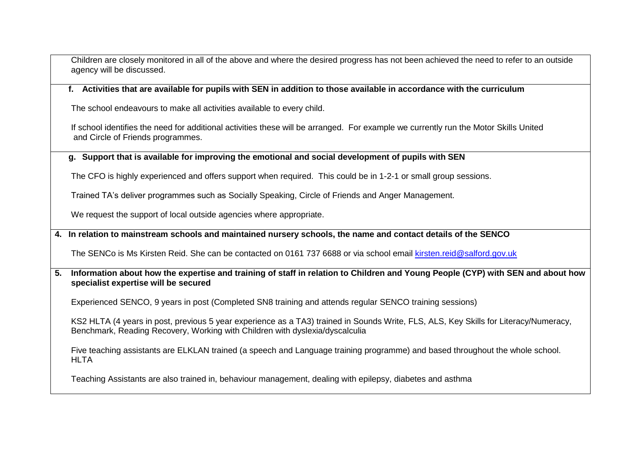Children are closely monitored in all of the above and where the desired progress has not been achieved the need to refer to an outside agency will be discussed.

#### **f. Activities that are available for pupils with SEN in addition to those available in accordance with the curriculum**

The school endeavours to make all activities available to every child.

If school identifies the need for additional activities these will be arranged. For example we currently run the Motor Skills United and Circle of Friends programmes.

#### **g. Support that is available for improving the emotional and social development of pupils with SEN**

The CFO is highly experienced and offers support when required. This could be in 1-2-1 or small group sessions.

Trained TA's deliver programmes such as Socially Speaking, Circle of Friends and Anger Management.

We request the support of local outside agencies where appropriate.

#### **4. In relation to mainstream schools and maintained nursery schools, the name and contact details of the SENCO**

The SENCo is Ms Kirsten Reid. She can be contacted on 0161 737 6688 or via school email [kirsten.reid@salford.gov.uk](mailto:kirsten.reid@salford.gov.uk)

**5. Information about how the expertise and training of staff in relation to Children and Young People (CYP) with SEN and about how specialist expertise will be secured**

Experienced SENCO, 9 years in post (Completed SN8 training and attends regular SENCO training sessions)

KS2 HLTA (4 years in post, previous 5 year experience as a TA3) trained in Sounds Write, FLS, ALS, Key Skills for Literacy/Numeracy, Benchmark, Reading Recovery, Working with Children with dyslexia/dyscalculia

Five teaching assistants are ELKLAN trained (a speech and Language training programme) and based throughout the whole school. HI TA

Teaching Assistants are also trained in, behaviour management, dealing with epilepsy, diabetes and asthma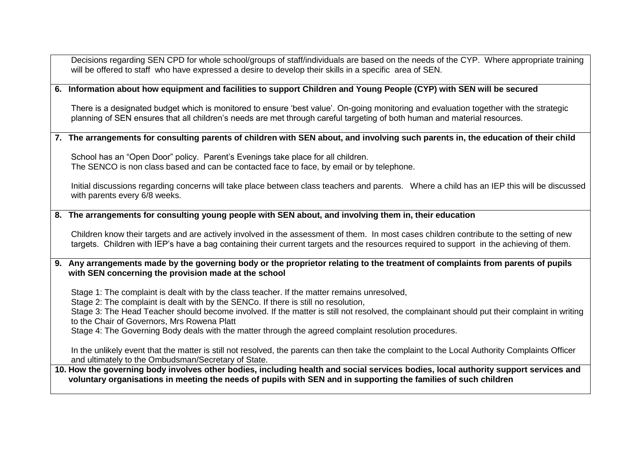Decisions regarding SEN CPD for whole school/groups of staff/individuals are based on the needs of the CYP. Where appropriate training will be offered to staff who have expressed a desire to develop their skills in a specific area of SEN. **6. Information about how equipment and facilities to support Children and Young People (CYP) with SEN will be secured** There is a designated budget which is monitored to ensure 'best value'. On-going monitoring and evaluation together with the strategic planning of SEN ensures that all children's needs are met through careful targeting of both human and material resources. **7. The arrangements for consulting parents of children with SEN about, and involving such parents in, the education of their child** School has an "Open Door" policy. Parent's Evenings take place for all children. The SENCO is non class based and can be contacted face to face, by email or by telephone. Initial discussions regarding concerns will take place between class teachers and parents. Where a child has an IEP this will be discussed with parents every 6/8 weeks. **8. The arrangements for consulting young people with SEN about, and involving them in, their education** Children know their targets and are actively involved in the assessment of them. In most cases children contribute to the setting of new targets. Children with IEP's have a bag containing their current targets and the resources required to support in the achieving of them. **9. Any arrangements made by the governing body or the proprietor relating to the treatment of complaints from parents of pupils with SEN concerning the provision made at the school** Stage 1: The complaint is dealt with by the class teacher. If the matter remains unresolved, Stage 2: The complaint is dealt with by the SENCo. If there is still no resolution, Stage 3: The Head Teacher should become involved. If the matter is still not resolved, the complainant should put their complaint in writing to the Chair of Governors, Mrs Rowena Platt Stage 4: The Governing Body deals with the matter through the agreed complaint resolution procedures. In the unlikely event that the matter is still not resolved, the parents can then take the complaint to the Local Authority Complaints Officer and ultimately to the Ombudsman/Secretary of State. **10. How the governing body involves other bodies, including health and social services bodies, local authority support services and voluntary organisations in meeting the needs of pupils with SEN and in supporting the families of such children**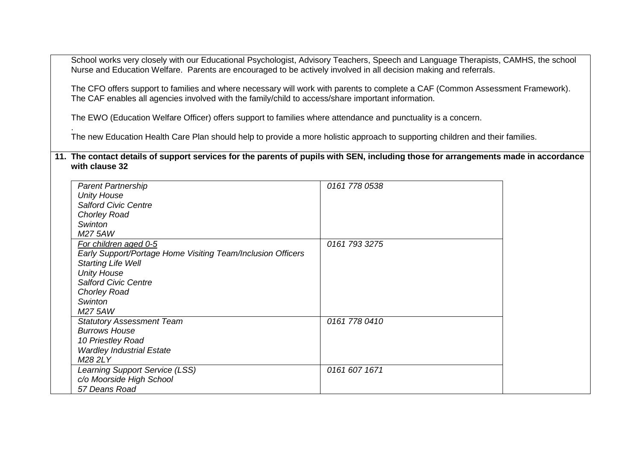School works very closely with our Educational Psychologist, Advisory Teachers, Speech and Language Therapists, CAMHS, the school Nurse and Education Welfare. Parents are encouraged to be actively involved in all decision making and referrals.

The CFO offers support to families and where necessary will work with parents to complete a CAF (Common Assessment Framework). The CAF enables all agencies involved with the family/child to access/share important information.

The EWO (Education Welfare Officer) offers support to families where attendance and punctuality is a concern.

. The new Education Health Care Plan should help to provide a more holistic approach to supporting children and their families.

**11. The contact details of support services for the parents of pupils with SEN, including those for arrangements made in accordance with clause 32**

| <b>Parent Partnership</b>                                   | 0161 778 0538 |
|-------------------------------------------------------------|---------------|
| <b>Unity House</b>                                          |               |
| <b>Salford Civic Centre</b>                                 |               |
| <b>Chorley Road</b>                                         |               |
| Swinton                                                     |               |
| M27 5AW                                                     |               |
| For children aged 0-5                                       | 0161 793 3275 |
| Early Support/Portage Home Visiting Team/Inclusion Officers |               |
| <b>Starting Life Well</b>                                   |               |
| <b>Unity House</b>                                          |               |
| <b>Salford Civic Centre</b>                                 |               |
| <b>Chorley Road</b>                                         |               |
| Swinton                                                     |               |
| M27 5AW                                                     |               |
| <b>Statutory Assessment Team</b>                            | 0161 778 0410 |
| <b>Burrows House</b>                                        |               |
| 10 Priestley Road                                           |               |
| <b>Wardley Industrial Estate</b>                            |               |
| M28 2LY                                                     |               |
| Learning Support Service (LSS)                              | 0161 607 1671 |
| c/o Moorside High School                                    |               |
| 57 Deans Road                                               |               |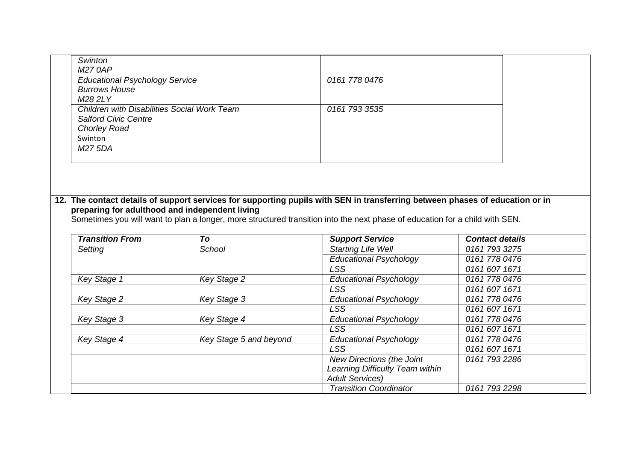| <b>Educational Psychology Service</b><br>0161 778 0476                                                                                   |
|------------------------------------------------------------------------------------------------------------------------------------------|
| <b>Burrows House</b><br>M28 2LY                                                                                                          |
| Children with Disabilities Social Work Team<br>0161 793 3535<br><b>Salford Civic Centre</b><br><b>Chorley Road</b><br>Swinton<br>M27 5DA |

## **12. The contact details of support services for supporting pupils with SEN in transferring between phases of education or in preparing for adulthood and independent living**

Sometimes you will want to plan a longer, more structured transition into the next phase of education for a child with SEN.

| <b>Transition From</b> | To                     | <b>Support Service</b>          | <b>Contact details</b> |
|------------------------|------------------------|---------------------------------|------------------------|
| Setting                | School                 | <b>Starting Life Well</b>       | 0161 793 3275          |
|                        |                        | <b>Educational Psychology</b>   | 0161 778 0476          |
|                        |                        | <b>LSS</b>                      | 0161 607 1671          |
| Key Stage 1            | Key Stage 2            | <b>Educational Psychology</b>   | 0161 778 0476          |
|                        |                        | <b>LSS</b>                      | 0161 607 1671          |
| Key Stage 2            | Key Stage 3            | <b>Educational Psychology</b>   | 0161 778 0476          |
|                        |                        | <b>LSS</b>                      | 0161 607 1671          |
| Key Stage 3            | Key Stage 4            | <b>Educational Psychology</b>   | 0161 778 0476          |
|                        |                        | <b>LSS</b>                      | 0161 607 1671          |
| Key Stage 4            | Key Stage 5 and beyond | <b>Educational Psychology</b>   | 0161 778 0476          |
|                        |                        | LSS                             | 0161 607 1671          |
|                        |                        | New Directions (the Joint       | 0161 793 2286          |
|                        |                        | Learning Difficulty Team within |                        |
|                        |                        | <b>Adult Services)</b>          |                        |
|                        |                        | <b>Transition Coordinator</b>   | 0161 793 2298          |